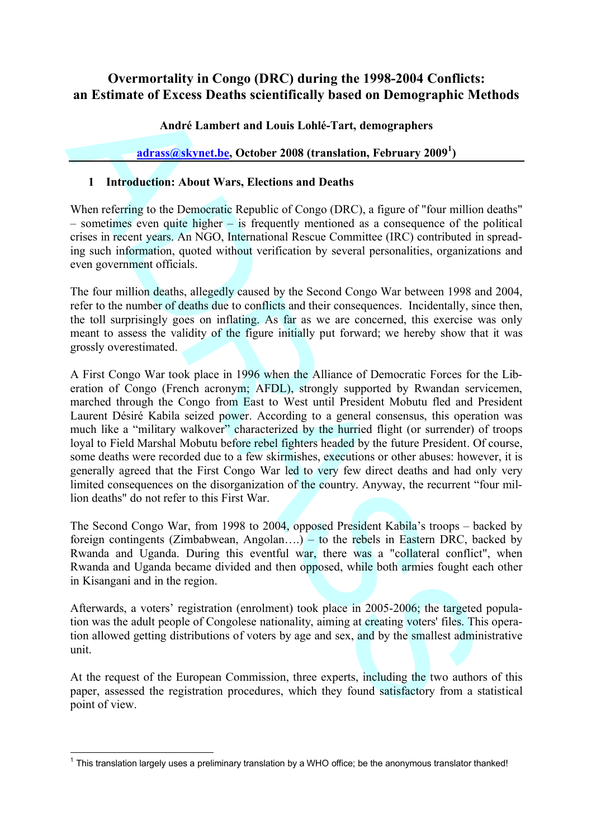# **Overmortality in Congo (DRC) during the 1998-2004 Conflicts: an Estimate of Excess Deaths scientifically based on Demographic Methods**

### André Lambert and Louis Lohlé-Tart, demographers

## **adrass@skynet.be, October 2008 (translation, February 2009<sup>1</sup> )**

### **1 Introduction: About Wars, Elections and Deaths**

When referring to the Democratic Republic of Congo (DRC), a figure of "four million deaths" – sometimes even quite higher – is frequently mentioned as a consequence of the political crises in recent years. An NGO, International Rescue Committee (IRC) contributed in spreading such information, quoted without verification by several personalities, organizations and even government officials.

The four million deaths, allegedly caused by the Second Congo War between 1998 and 2004, refer to the number of deaths due to conflicts and their consequences. Incidentally, since then, the toll surprisingly goes on inflating. As far as we are concerned, this exercise was only meant to assess the validity of the figure initially put forward; we hereby show that it was grossly overestimated.

an nustrimate of nuceses Deatris scientificantly based on Demographies we<br>
André Lambert and Louis Lohle-Tart, demographies<br>
durassérstvanet.he, October 2008 (translation, February 2009<sup>1</sup>)<br>
1 Introduction: About Wars, El A First Congo War took place in 1996 when the Alliance of Democratic Forces for the Liberation of Congo (French acronym; AFDL), strongly supported by Rwandan servicemen, marched through the Congo from East to West until President Mobutu fled and President Laurent Désiré Kabila seized power. According to a general consensus, this operation was much like a "military walkover" characterized by the hurried flight (or surrender) of troops loyal to Field Marshal Mobutu before rebel fighters headed by the future President. Of course, some deaths were recorded due to a few skirmishes, executions or other abuses: however, it is generally agreed that the First Congo War led to very few direct deaths and had only very limited consequences on the disorganization of the country. Anyway, the recurrent "four million deaths" do not refer to this First War.

The Second Congo War, from 1998 to 2004, opposed President Kabila's troops – backed by foreign contingents (Zimbabwean, Angolan….) – to the rebels in Eastern DRC, backed by Rwanda and Uganda. During this eventful war, there was a "collateral conflict", when Rwanda and Uganda became divided and then opposed, while both armies fought each other in Kisangani and in the region.

Afterwards, a voters' registration (enrolment) took place in 2005-2006; the targeted population was the adult people of Congolese nationality, aiming at creating voters' files. This operation allowed getting distributions of voters by age and sex, and by the smallest administrative unit.

At the request of the European Commission, three experts, including the two authors of this paper, assessed the registration procedures, which they found satisfactory from a statistical point of view.

<sup>&</sup>lt;sup>1</sup> This translation largely uses a preliminary translation by a WHO office; be the anonymous translator thanked!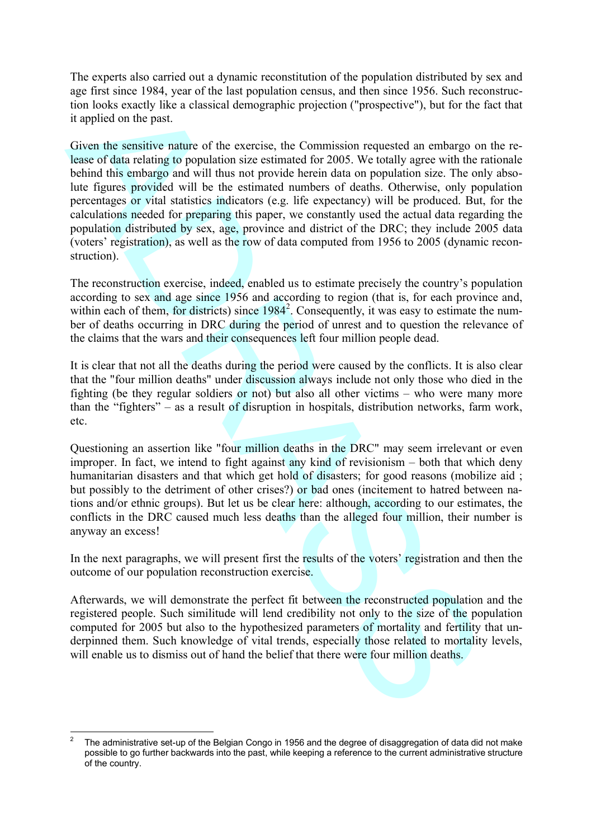The experts also carried out a dynamic reconstitution of the population distributed by sex and age first since 1984, year of the last population census, and then since 1956. Such reconstruction looks exactly like a classical demographic projection ("prospective"), but for the fact that it applied on the past.

tion luoks coach) Fix a classical demographic projection ("prospective"), but for the taplind on the past.<br>
The main of the state of the reactios, the Commission requested an embango of<br>
teaching the prospective projectio Given the sensitive nature of the exercise, the Commission requested an embargo on the release of data relating to population size estimated for 2005. We totally agree with the rationale behind this embargo and will thus not provide herein data on population size. The only absolute figures provided will be the estimated numbers of deaths. Otherwise, only population percentages or vital statistics indicators (e.g. life expectancy) will be produced. But, for the calculations needed for preparing this paper, we constantly used the actual data regarding the population distributed by sex, age, province and district of the DRC; they include 2005 data (voters' registration), as well as the row of data computed from 1956 to 2005 (dynamic reconstruction).

The reconstruction exercise, indeed, enabled us to estimate precisely the country's population according to sex and age since 1956 and according to region (that is, for each province and, within each of them, for districts) since  $1984<sup>2</sup>$ . Consequently, it was easy to estimate the number of deaths occurring in DRC during the period of unrest and to question the relevance of the claims that the wars and their consequences left four million people dead.

It is clear that not all the deaths during the period were caused by the conflicts. It is also clear that the "four million deaths" under discussion always include not only those who died in the fighting (be they regular soldiers or not) but also all other victims – who were many more than the "fighters" – as a result of disruption in hospitals, distribution networks, farm work, etc.

Questioning an assertion like "four million deaths in the DRC" may seem irrelevant or even improper. In fact, we intend to fight against any kind of revisionism – both that which deny humanitarian disasters and that which get hold of disasters; for good reasons (mobilize aid; but possibly to the detriment of other crises?) or bad ones (incitement to hatred between nations and/or ethnic groups). But let us be clear here: although, according to our estimates, the conflicts in the DRC caused much less deaths than the alleged four million, their number is anyway an excess!

In the next paragraphs, we will present first the results of the voters' registration and then the outcome of our population reconstruction exercise.

Afterwards, we will demonstrate the perfect fit between the reconstructed population and the registered people. Such similitude will lend credibility not only to the size of the population computed for 2005 but also to the hypothesized parameters of mortality and fertility that underpinned them. Such knowledge of vital trends, especially those related to mortality levels, will enable us to dismiss out of hand the belief that there were four million deaths.

<sup>2</sup> The administrative set-up of the Belgian Congo in 1956 and the degree of disaggregation of data did not make possible to go further backwards into the past, while keeping a reference to the current administrative structure of the country.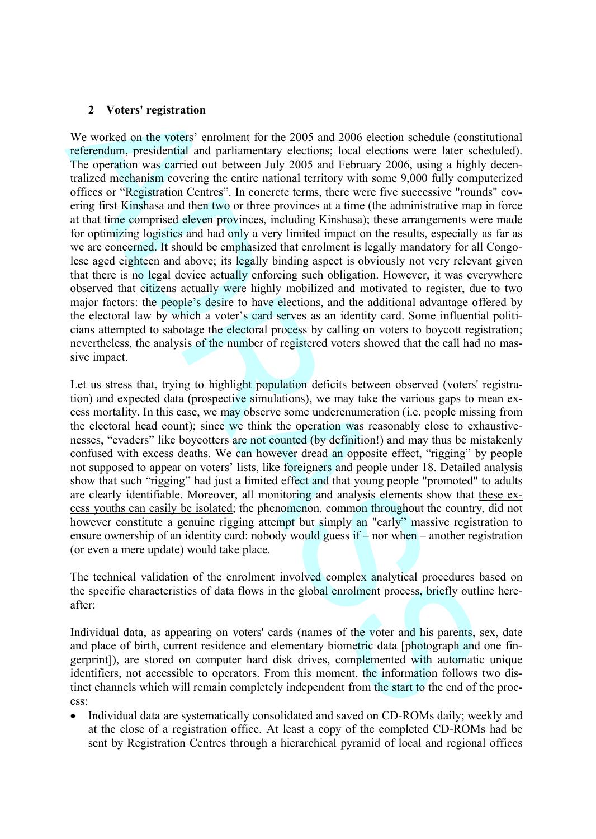#### **2 Voters' registration**

2 Voters' registration<br>We worked on the voters' encolment for the 2005 and 2006 election schedule (constructed<br>in correction are generated and particularity clearing the constrained in<br>the operation was estimated and part We worked on the voters' enrolment for the 2005 and 2006 election schedule (constitutional referendum, presidential and parliamentary elections; local elections were later scheduled). The operation was carried out between July 2005 and February 2006, using a highly decentralized mechanism covering the entire national territory with some 9,000 fully computerized offices or "Registration Centres". In concrete terms, there were five successive "rounds" covering first Kinshasa and then two or three provinces at a time (the administrative map in force at that time comprised eleven provinces, including Kinshasa); these arrangements were made for optimizing logistics and had only a very limited impact on the results, especially as far as we are concerned. It should be emphasized that enrolment is legally mandatory for all Congolese aged eighteen and above; its legally binding aspect is obviously not very relevant given that there is no legal device actually enforcing such obligation. However, it was everywhere observed that citizens actually were highly mobilized and motivated to register, due to two major factors: the people's desire to have elections, and the additional advantage offered by the electoral law by which a voter's card serves as an identity card. Some influential politicians attempted to sabotage the electoral process by calling on voters to boycott registration; nevertheless, the analysis of the number of registered voters showed that the call had no massive impact.

Let us stress that, trying to highlight population deficits between observed (voters' registration) and expected data (prospective simulations), we may take the various gaps to mean excess mortality. In this case, we may observe some underenumeration (i.e. people missing from the electoral head count); since we think the operation was reasonably close to exhaustivenesses, "evaders" like boycotters are not counted (by definition!) and may thus be mistakenly confused with excess deaths. We can however dread an opposite effect, "rigging" by people not supposed to appear on voters' lists, like foreigners and people under 18. Detailed analysis show that such "rigging" had just a limited effect and that young people "promoted" to adults are clearly identifiable. Moreover, all monitoring and analysis elements show that these excess youths can easily be isolated; the phenomenon, common throughout the country, did not however constitute a genuine rigging attempt but simply an "early" massive registration to ensure ownership of an identity card: nobody would guess if – nor when – another registration (or even a mere update) would take place.

The technical validation of the enrolment involved complex analytical procedures based on the specific characteristics of data flows in the global enrolment process, briefly outline hereafter:

Individual data, as appearing on voters' cards (names of the voter and his parents, sex, date and place of birth, current residence and elementary biometric data [photograph and one fingerprint]), are stored on computer hard disk drives, complemented with automatic unique identifiers, not accessible to operators. From this moment, the information follows two distinct channels which will remain completely independent from the start to the end of the process:

 Individual data are systematically consolidated and saved on CD-ROMs daily; weekly and at the close of a registration office. At least a copy of the completed CD-ROMs had be sent by Registration Centres through a hierarchical pyramid of local and regional offices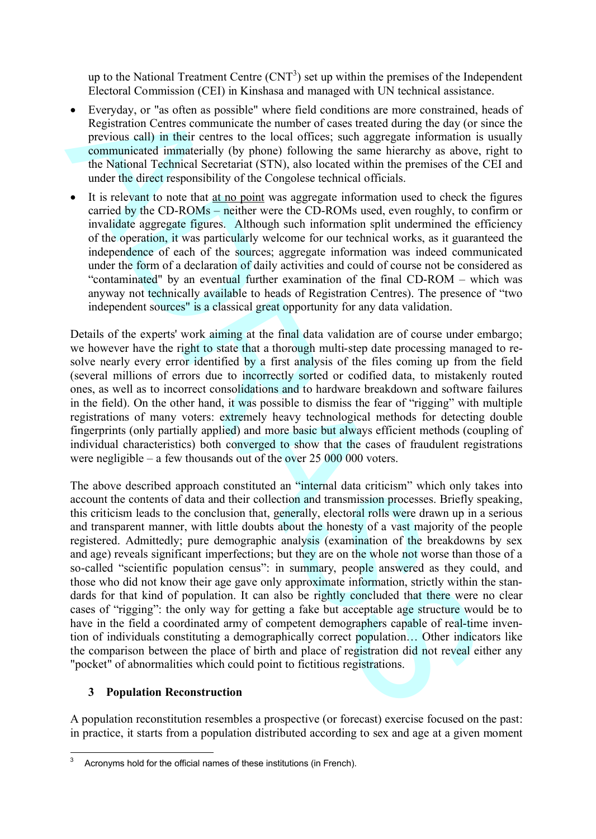up to the National Treatment Centre  $(CNT<sup>3</sup>)$  set up within the premises of the Independent Electoral Commission (CEI) in Kinshasa and managed with UN technical assistance.

- Everyday, or "as often as possible" where field conditions are more constrained, heads of Registration Centres communicate the number of cases treated during the day (or since the previous call) in their centres to the local offices; such aggregate information is usually communicated immaterially (by phone) following the same hierarchy as above, right to the National Technical Secretariat (STN), also located within the premises of the CEI and under the direct responsibility of the Congolese technical officials.
- It is relevant to note that at no point was aggregate information used to check the figures carried by the CD-ROMs – neither were the CD-ROMs used, even roughly, to confirm or invalidate aggregate figures. Although such information split undermined the efficiency of the operation, it was particularly welcome for our technical works, as it guaranteed the independence of each of the sources; aggregate information was indeed communicated under the form of a declaration of daily activities and could of course not be considered as "contaminated" by an eventual further examination of the final CD-ROM – which was anyway not technically available to heads of Registration Centres). The presence of "two independent sources" is a classical great opportunity for any data validation.

Details of the experts' work aiming at the final data validation are of course under embargo; we however have the right to state that a thorough multi-step date processing managed to resolve nearly every error identified by a first analysis of the files coming up from the field (several millions of errors due to incorrectly sorted or codified data, to mistakenly routed ones, as well as to incorrect consolidations and to hardware breakdown and software failures in the field). On the other hand, it was possible to dismiss the fear of "rigging" with multiple registrations of many voters: extremely heavy technological methods for detecting double fingerprints (only partially applied) and more basic but always efficient methods (coupling of individual characteristics) both converged to show that the cases of fraudulent registrations were negligible – a few thousands out of the over 25 000 000 voters.

Freerodic, or "as other assumed when the sugged where the signal control to the system of the system of the system of the system of the system of the present standard particle particle of the system of the system of the s The above described approach constituted an "internal data criticism" which only takes into account the contents of data and their collection and transmission processes. Briefly speaking, this criticism leads to the conclusion that, generally, electoral rolls were drawn up in a serious and transparent manner, with little doubts about the honesty of a vast majority of the people registered. Admittedly; pure demographic analysis (examination of the breakdowns by sex and age) reveals significant imperfections; but they are on the whole not worse than those of a so-called "scientific population census": in summary, people answered as they could, and those who did not know their age gave only approximate information, strictly within the standards for that kind of population. It can also be rightly concluded that there were no clear cases of "rigging": the only way for getting a fake but acceptable age structure would be to have in the field a coordinated army of competent demographers capable of real-time invention of individuals constituting a demographically correct population… Other indicators like the comparison between the place of birth and place of registration did not reveal either any "pocket" of abnormalities which could point to fictitious registrations.

#### **3 Population Reconstruction**

A population reconstitution resembles a prospective (or forecast) exercise focused on the past: in practice, it starts from a population distributed according to sex and age at a given moment

 $3$  Acronyms hold for the official names of these institutions (in French).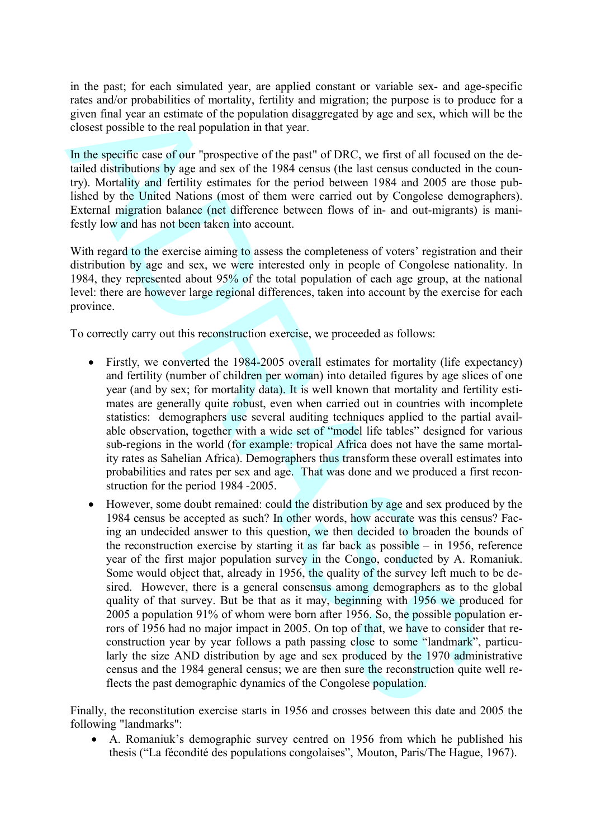in the past; for each simulated year, are applied constant or variable sex- and age-specific rates and/or probabilities of mortality, fertility and migration; the purpose is to produce for a given final year an estimate of the population disaggregated by age and sex, which will be the closest possible to the real population in that year.

In the specific case of our "prospective of the past" of DRC, we first of all focused on the detailed distributions by age and sex of the 1984 census (the last census conducted in the country). Mortality and fertility estimates for the period between 1984 and 2005 are those published by the United Nations (most of them were carried out by Congolese demographers). External migration balance (net difference between flows of in- and out-migrants) is manifestly low and has not been taken into account.

With regard to the exercise aiming to assess the completeness of voters' registration and their distribution by age and sex, we were interested only in people of Congolese nationality. In 1984, they represented about 95% of the total population of each age group, at the national level: there are however large regional differences, taken into account by the exercise for each province.

To correctly carry out this reconstruction exercise, we proceeded as follows:

- Firstly, we converted the 1984-2005 overall estimates for mortality (life expectancy) and fertility (number of children per woman) into detailed figures by age slices of one year (and by sex; for mortality data). It is well known that mortality and fertility estimates are generally quite robust, even when carried out in countries with incomplete statistics: demographers use several auditing techniques applied to the partial available observation, together with a wide set of "model life tables" designed for various sub-regions in the world (for example: tropical Africa does not have the same mortality rates as Sahelian Africa). Demographers thus transform these overall estimates into probabilities and rates per sex and age. That was done and we produced a first reconstruction for the period 1984 -2005.
- anado repobblishes of mortality, fertility and magnation; the pupse is to product<br>and the paper and the paper and the paper of the population disaggregated by age ond sex, which will<br>closest possible to the real population However, some doubt remained: could the distribution by age and sex produced by the 1984 census be accepted as such? In other words, how accurate was this census? Facing an undecided answer to this question, we then decided to broaden the bounds of the reconstruction exercise by starting it as far back as possible – in 1956, reference year of the first major population survey in the Congo, conducted by A. Romaniuk. Some would object that, already in 1956, the quality of the survey left much to be desired. However, there is a general consensus among demographers as to the global quality of that survey. But be that as it may, beginning with 1956 we produced for 2005 a population 91% of whom were born after 1956. So, the possible population errors of 1956 had no major impact in 2005. On top of that, we have to consider that reconstruction year by year follows a path passing close to some "landmark", particularly the size AND distribution by age and sex produced by the 1970 administrative census and the 1984 general census; we are then sure the reconstruction quite well reflects the past demographic dynamics of the Congolese population.

Finally, the reconstitution exercise starts in 1956 and crosses between this date and 2005 the following "landmarks":

 A. Romaniuk's demographic survey centred on 1956 from which he published his thesis ("La fécondité des populations congolaises", Mouton, Paris/The Hague, 1967).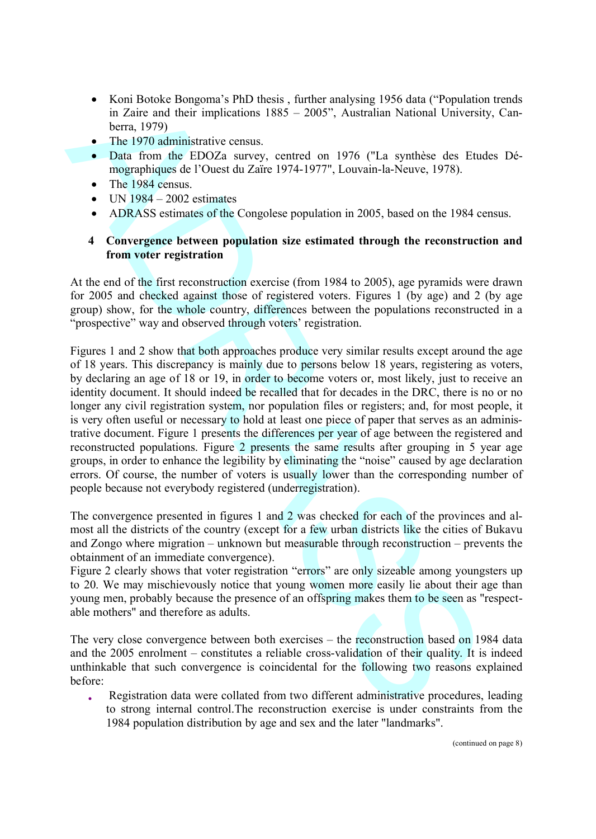- Koni Botoke Bongoma's PhD thesis, further analysing 1956 data ("Population trends") in Zaire and their implications  $1885 - 2005$ ", Australian National University, Canberra, 1979)
- The 1970 administrative census.
- Data from the EDOZa survey, centred on 1976 ("La synthèse des Etudes Démographiques de l'Ouest du Zaïre 1974-1977", Louvain-la-Neuve, 1978).
- The 1984 census.
- UN 1984 2002 estimates
- ADRASS estimates of the Congolese population in 2005, based on the 1984 census.

#### **4 Convergence between population size estimated through the reconstruction and from voter registration**

At the end of the first reconstruction exercise (from 1984 to 2005), age pyramids were drawn for 2005 and checked against those of registered voters. Figures 1 (by age) and 2 (by age group) show, for the whole country, differences between the populations reconstructed in a "prospective" way and observed through voters' registration.

6 Km Booke Bongoms is PhD thesis , future analysing 1956 data ("Population"<br>in Zaric and their mplications 1885 ~ 2005". Australian National University<br>because the HD/26 auresy cented on 1976 ("H a symblec des Fud<br>min for Figures 1 and 2 show that both approaches produce very similar results except around the age of 18 years. This discrepancy is mainly due to persons below 18 years, registering as voters, by declaring an age of 18 or 19, in order to become voters or, most likely, just to receive an identity document. It should indeed be recalled that for decades in the DRC, there is no or no longer any civil registration system, nor population files or registers; and, for most people, it is very often useful or necessary to hold at least one piece of paper that serves as an administrative document. Figure 1 presents the differences per year of age between the registered and reconstructed populations. Figure 2 presents the same results after grouping in 5 year age groups, in order to enhance the legibility by eliminating the "noise" caused by age declaration errors. Of course, the number of voters is usually lower than the corresponding number of people because not everybody registered (underregistration).

The convergence presented in figures 1 and 2 was checked for each of the provinces and almost all the districts of the country (except for a few urban districts like the cities of Bukavu and Zongo where migration – unknown but measurable through reconstruction – prevents the obtainment of an immediate convergence).

Figure 2 clearly shows that voter registration "errors" are only sizeable among youngsters up to 20. We may mischievously notice that young women more easily lie about their age than young men, probably because the presence of an offspring makes them to be seen as "respectable mothers" and therefore as adults.

The very close convergence between both exercises – the reconstruction based on 1984 data and the 2005 enrolment – constitutes a reliable cross-validation of their quality. It is indeed unthinkable that such convergence is coincidental for the following two reasons explained before:

 Registration data were collated from two different administrative procedures, leading to strong internal control.The reconstruction exercise is under constraints from the 1984 population distribution by age and sex and the later "landmarks".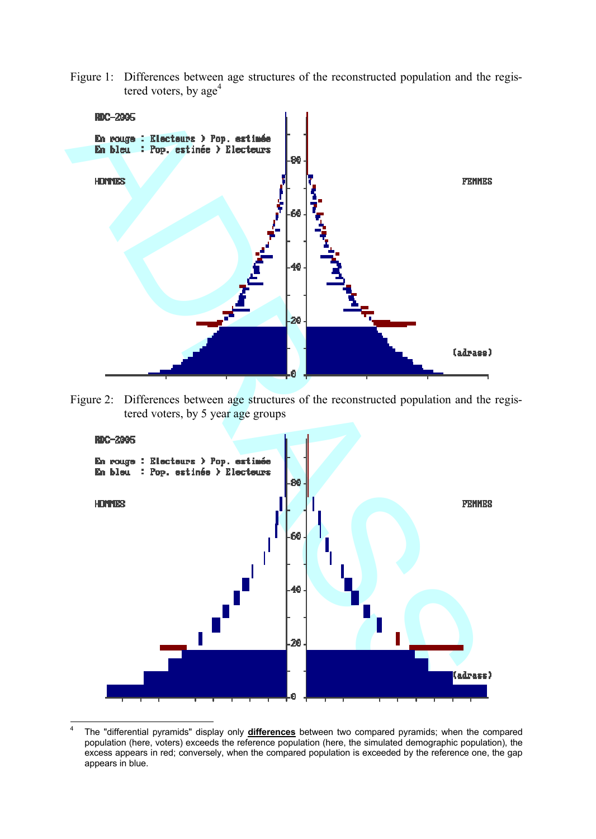Figure 1: Differences between age structures of the reconstructed population and the registered voters, by  $age<sup>4</sup>$ 



Figure 2: Differences between age structures of the reconstructed population and the registered voters, by 5 year age groups



<sup>4</sup> The "differential pyramids" display only **differences** between two compared pyramids; when the compared population (here, voters) exceeds the reference population (here, the simulated demographic population), the excess appears in red; conversely, when the compared population is exceeded by the reference one, the gap appears in blue.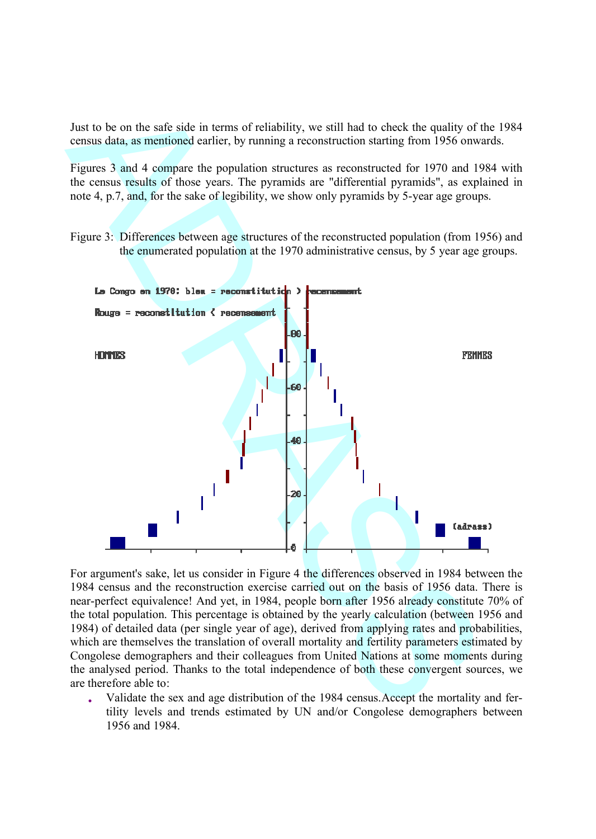Just to be on the safe side in terms of reliability, we still had to check the quality of the 1984 census data, as mentioned earlier, by running a reconstruction starting from 1956 onwards.

Figures 3 and 4 compare the population structures as reconstructed for 1970 and 1984 with the census results of those years. The pyramids are "differential pyramids", as explained in note 4, p.7, and, for the sake of legibility, we show only pyramids by 5-year age groups.

Figure 3: Differences between age structures of the reconstructed population (from 1956) and the enumerated population at the 1970 administrative census, by 5 year age groups.



For argument's sake, let us consider in Figure 4 the differences observed in 1984 between the 1984 census and the reconstruction exercise carried out on the basis of 1956 data. There is near-perfect equivalence! And yet, in 1984, people born after 1956 already constitute 70% of the total population. This percentage is obtained by the yearly calculation (between 1956 and 1984) of detailed data (per single year of age), derived from applying rates and probabilities, which are themselves the translation of overall mortality and fertility parameters estimated by Congolese demographers and their colleagues from United Nations at some moments during the analysed period. Thanks to the total independence of both these convergent sources, we are therefore able to:

 Validate the sex and age distribution of the 1984 census.Accept the mortality and fertility levels and trends estimated by UN and/or Congolese demographers between 1956 and 1984.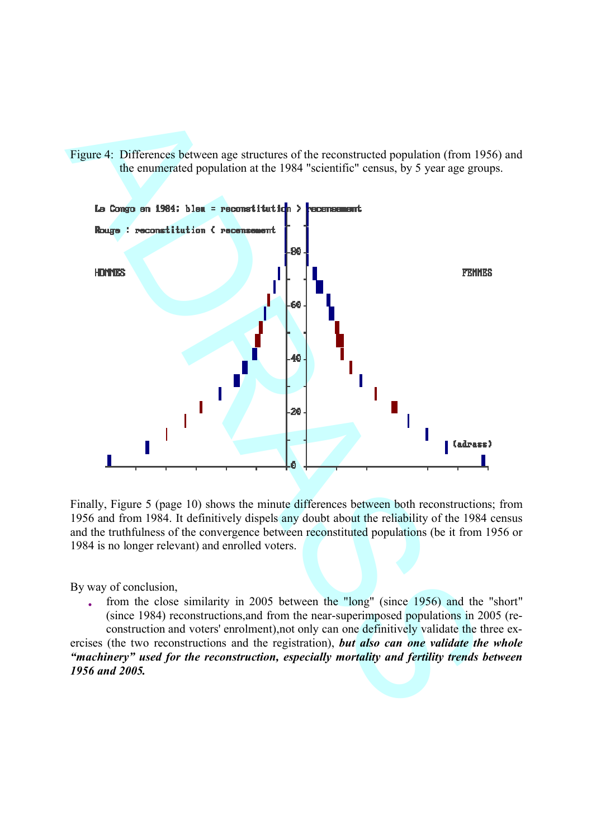Figure 4: Differences between age structures of the reconstructed population (from 1956) and the enumerated population at the 1984 "scientific" census, by 5 year age groups.



Finally, Figure 5 (page 10) shows the minute differences between both reconstructions; from 1956 and from 1984. It definitively dispels any doubt about the reliability of the 1984 census and the truthfulness of the convergence between reconstituted populations (be it from 1956 or 1984 is no longer relevant) and enrolled voters.

By way of conclusion,

 from the close similarity in 2005 between the "long" (since 1956) and the "short" (since 1984) reconstructions,and from the near-superimposed populations in 2005 (reconstruction and voters' enrolment),not only can one definitively validate the three ex-

ercises (the two reconstructions and the registration), *but also can one validate the whole "machinery" used for the reconstruction, especially mortality and fertility trends between 1956 and 2005.*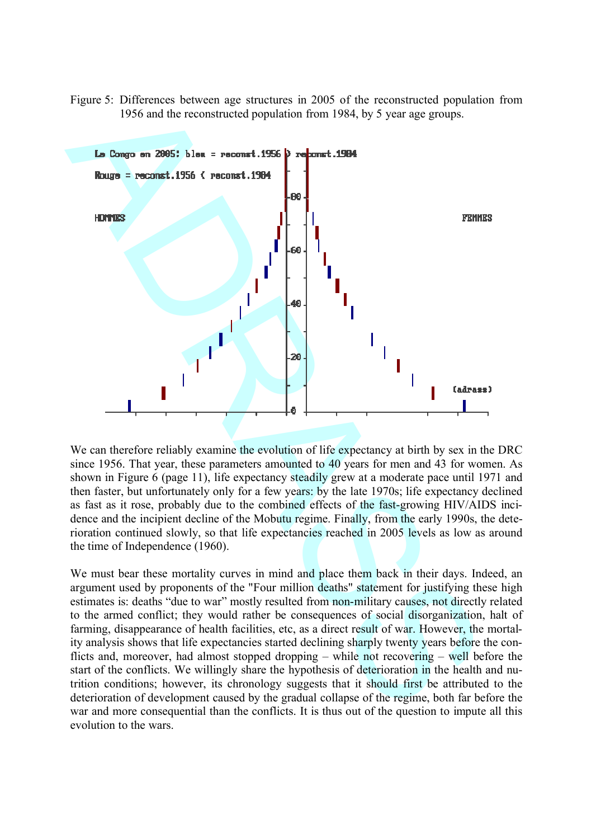Figure 5: Differences between age structures in 2005 of the reconstructed population from 1956 and the reconstructed population from 1984, by 5 year age groups.



We can therefore reliably examine the evolution of life expectancy at birth by sex in the DRC since 1956. That year, these parameters amounted to 40 years for men and 43 for women. As shown in Figure 6 (page 11), life expectancy steadily grew at a moderate pace until 1971 and then faster, but unfortunately only for a few years: by the late 1970s; life expectancy declined as fast as it rose, probably due to the combined effects of the fast-growing HIV/AIDS incidence and the incipient decline of the Mobutu regime. Finally, from the early 1990s, the deterioration continued slowly, so that life expectancies reached in 2005 levels as low as around the time of Independence (1960).

We must bear these mortality curves in mind and place them back in their days. Indeed, an argument used by proponents of the "Four million deaths" statement for justifying these high estimates is: deaths "due to war" mostly resulted from non-military causes, not directly related to the armed conflict; they would rather be consequences of social disorganization, halt of farming, disappearance of health facilities, etc, as a direct result of war. However, the mortality analysis shows that life expectancies started declining sharply twenty years before the conflicts and, moreover, had almost stopped dropping – while not recovering – well before the start of the conflicts. We willingly share the hypothesis of deterioration in the health and nutrition conditions; however, its chronology suggests that it should first be attributed to the deterioration of development caused by the gradual collapse of the regime, both far before the war and more consequential than the conflicts. It is thus out of the question to impute all this evolution to the wars.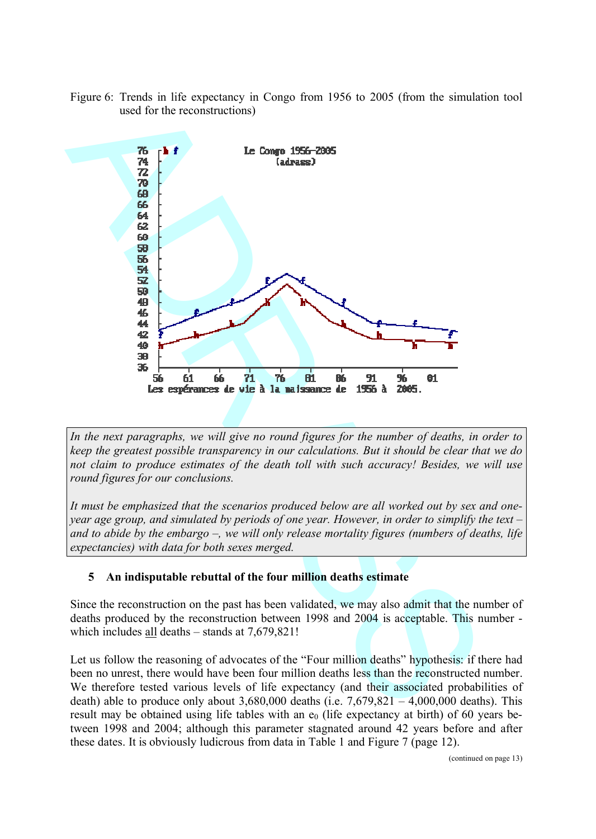Figure 6: Trends in life expectancy in Congo from 1956 to 2005 (from the simulation tool used for the reconstructions)



*In the next paragraphs, we will give no round figures for the number of deaths, in order to keep the greatest possible transparency in our calculations. But it should be clear that we do not claim to produce estimates of the death toll with such accuracy! Besides, we will use round figures for our conclusions.*

*It must be emphasized that the scenarios produced below are all worked out by sex and oneyear age group, and simulated by periods of one year. However, in order to simplify the text – and to abide by the embargo –, we will only release mortality figures (numbers of deaths, life expectancies) with data for both sexes merged.*

#### **5 An indisputable rebuttal of the four million deaths estimate**

Since the reconstruction on the past has been validated, we may also admit that the number of deaths produced by the reconstruction between 1998 and 2004 is acceptable. This number which includes all deaths – stands at 7,679,821!

Let us follow the reasoning of advocates of the "Four million deaths" hypothesis: if there had been no unrest, there would have been four million deaths less than the reconstructed number. We therefore tested various levels of life expectancy (and their associated probabilities of death) able to produce only about  $3,680,000$  deaths (i.e.  $7,679,821 - 4,000,000$  deaths). This result may be obtained using life tables with an  $e_0$  (life expectancy at birth) of 60 years between 1998 and 2004; although this parameter stagnated around 42 years before and after these dates. It is obviously ludicrous from data in Table 1 and Figure 7 (page 12).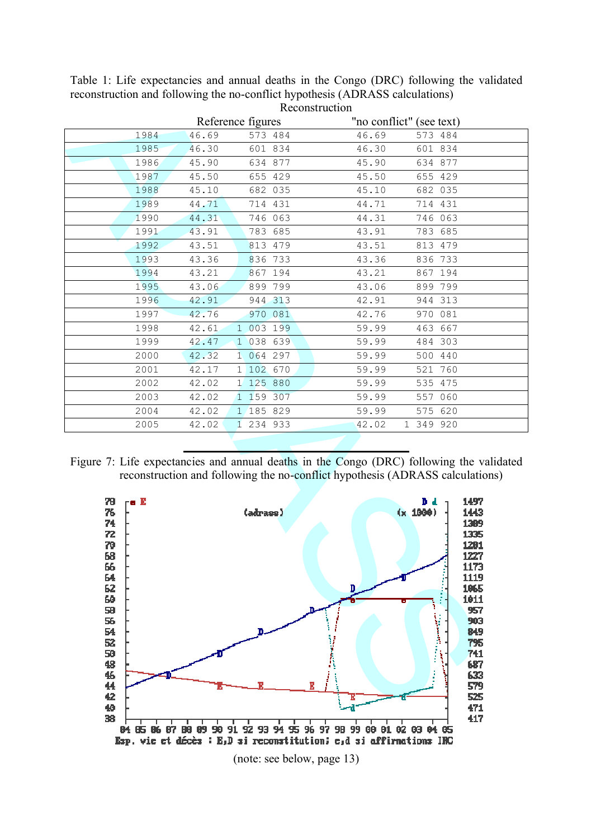| 1984                                                                                             |       |                                                                                           |       |                                                                                                                     |
|--------------------------------------------------------------------------------------------------|-------|-------------------------------------------------------------------------------------------|-------|---------------------------------------------------------------------------------------------------------------------|
|                                                                                                  |       | Reference figures                                                                         |       | "no conflict" (see text)                                                                                            |
|                                                                                                  | 46.69 | 573 484                                                                                   | 46.69 | 573 484                                                                                                             |
| 1985                                                                                             | 46.30 | 601 834                                                                                   | 46.30 | 601 834                                                                                                             |
| 1986                                                                                             | 45.90 | 634 877                                                                                   | 45.90 | 634 877                                                                                                             |
| 1987                                                                                             | 45.50 | 655 429                                                                                   | 45.50 | 655 429                                                                                                             |
| 1988                                                                                             | 45.10 | 682 035                                                                                   | 45.10 | 682 035                                                                                                             |
| 1989                                                                                             | 44.71 | 714 431                                                                                   | 44.71 | 714 431                                                                                                             |
| 1990                                                                                             | 44.31 | 746 063                                                                                   | 44.31 | 746 063                                                                                                             |
| 1991                                                                                             | 43.91 | 783 685                                                                                   | 43.91 | 783 685                                                                                                             |
| 1992                                                                                             | 43.51 | 813 479                                                                                   | 43.51 | 813 479                                                                                                             |
| 1993                                                                                             | 43.36 | 836 733                                                                                   | 43.36 | 836 733                                                                                                             |
| 1994                                                                                             | 43.21 | 867 194                                                                                   | 43.21 | 867 194                                                                                                             |
| 1995                                                                                             | 43.06 | 899 799                                                                                   | 43.06 | 899 799                                                                                                             |
| 1996                                                                                             | 42.91 | 944 313                                                                                   | 42.91 | 944 313                                                                                                             |
| 1997                                                                                             | 42.76 | 970 081                                                                                   | 42.76 | 970 081                                                                                                             |
| 1998                                                                                             | 42.61 | 003 199<br>$\mathbf{1}$                                                                   | 59.99 | 463 667                                                                                                             |
| 1999                                                                                             | 42.47 | 1 038 639                                                                                 | 59.99 | 484 303                                                                                                             |
| 2000                                                                                             | 42.32 | 1 064 297                                                                                 | 59.99 | 500 440                                                                                                             |
| 2001                                                                                             | 42.17 | 1 102 670                                                                                 | 59.99 | 521 760                                                                                                             |
| 2002                                                                                             | 42.02 | 1 125 880                                                                                 | 59.99 | 535 475                                                                                                             |
| 2003                                                                                             | 42.02 | 1 159 307                                                                                 | 59.99 | 557 060                                                                                                             |
| 2004                                                                                             | 42.02 | 1 185 829                                                                                 | 59.99 | 575 620                                                                                                             |
|                                                                                                  |       |                                                                                           |       |                                                                                                                     |
| 2005<br>Figure 7: Life expectancies and annual deaths in the Congo (DRC) following the validated | 42.02 | 1 234 933                                                                                 | 42.02 | 1 349 920                                                                                                           |
| 79<br>$\mathsf{re}\ \mathbf{E}$<br>76<br>74                                                      |       | reconstruction and following the no-conflict hypothesis (ADRASS calculations)<br>(adrass) |       | 1497<br>D d.<br>(x, 1000)<br>1443<br>1389                                                                           |
| 72<br>79<br>68<br>66<br>64<br>62<br>60<br>58<br>56<br>54<br>52<br>50<br>48<br>46<br>44<br>42     |       | b.                                                                                        | D.    | 1335<br>1281<br>1227<br>1173<br>1119<br>1065<br>1011<br>957<br>903<br>849<br>795<br>741<br>687<br>633<br>579<br>525 |

Table 1: Life expectancies and annual deaths in the Congo (DRC) following the validated reconstruction and following the no-conflict hypothesis (ADRASS calculations) Reconstruction

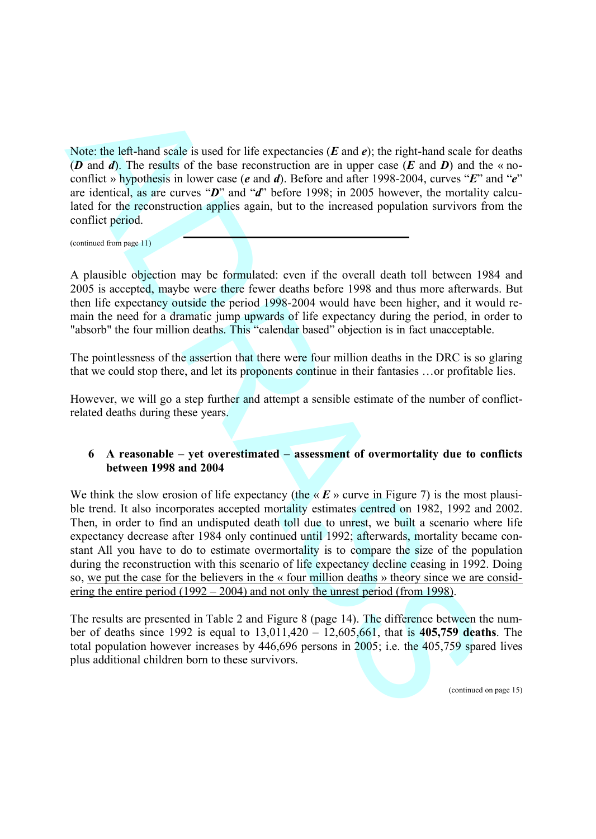Note: the left-hand scale is used for life expectancies (*E* and *e*); the right-hand scale for deaths (*D* and *d*). The results of the base reconstruction are in upper case (*E* and *D*) and the « noconflict » hypothesis in lower case (*e* and *d*). Before and after 1998-2004, curves "*E*" and "*e*" are identical, as are curves "*D*" and "*d*" before 1998; in 2005 however, the mortality calculated for the reconstruction applies again, but to the increased population survivors from the conflict period.

(continued from page 11)

A plausible objection may be formulated: even if the overall death toll between 1984 and 2005 is accepted, maybe were there fewer deaths before 1998 and thus more afterwards. But then life expectancy outside the period 1998-2004 would have been higher, and it would remain the need for a dramatic jump upwards of life expectancy during the period, in order to "absorb" the four million deaths. This "calendar based" objection is in fact unacceptable.

The pointlessness of the assertion that there were four million deaths in the DRC is so glaring that we could stop there, and let its proponents continue in their fantasies …or profitable lies.

However, we will go a step further and attempt a sensible estimate of the number of conflictrelated deaths during these years.

#### **6 A reasonable – yet overestimated – assessment of overmortality due to conflicts between 1998 and 2004**

Note, the left-hand scale is used for life expectancies (*E* and *e*); the right-hand scale for (*D* and *A*). The results of the base reconstruction are in sppe case (*E* and *D*) and if one is the scale of the base reco We think the slow erosion of life expectancy (the  $\alpha E$   $\alpha$  curve in Figure 7) is the most plausible trend. It also incorporates accepted mortality estimates centred on 1982, 1992 and 2002. Then, in order to find an undisputed death toll due to unrest, we built a scenario where life expectancy decrease after 1984 only continued until 1992; afterwards, mortality became constant All you have to do to estimate overmortality is to compare the size of the population during the reconstruction with this scenario of life expectancy decline ceasing in 1992. Doing so, we put the case for the believers in the  $\kappa$  four million deaths  $\kappa$  theory since we are considering the entire period (1992 – 2004) and not only the unrest period (from 1998).

The results are presented in Table 2 and Figure 8 (page 14). The difference between the number of deaths since 1992 is equal to 13,011,420 – 12,605,661, that is **405,759 deaths**. The total population however increases by 446,696 persons in 2005; i.e. the 405,759 spared lives plus additional children born to these survivors.

(continued on page 15)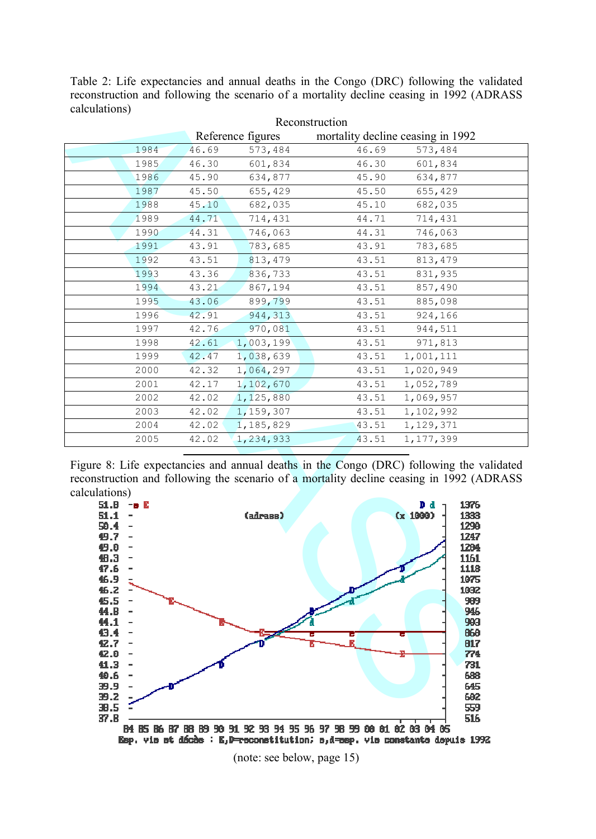Table 2: Life expectancies and annual deaths in the Congo (DRC) following the validated reconstruction and following the scenario of a mortality decline ceasing in 1992 (ADRASS calculations)

|                                                                  |      | Reference figures |           |       | mortality decline ceasing in 1992                                                        |
|------------------------------------------------------------------|------|-------------------|-----------|-------|------------------------------------------------------------------------------------------|
|                                                                  | 1984 | 46.69             | 573,484   | 46.69 | 573,484                                                                                  |
|                                                                  | 1985 | 46.30             | 601,834   | 46.30 | 601,834                                                                                  |
|                                                                  | 1986 | 45.90             | 634,877   | 45.90 | 634,877                                                                                  |
|                                                                  | 1987 | 45.50             | 655,429   | 45.50 | 655,429                                                                                  |
|                                                                  | 1988 | 45.10             | 682,035   | 45.10 | 682,035                                                                                  |
|                                                                  | 1989 | 44.71             | 714,431   | 44.71 | 714,431                                                                                  |
|                                                                  | 1990 | 44.31             | 746,063   | 44.31 | 746,063                                                                                  |
|                                                                  | 1991 | 43.91             | 783,685   | 43.91 | 783,685                                                                                  |
|                                                                  | 1992 | 43.51             | 813,479   | 43.51 | 813, 479                                                                                 |
|                                                                  | 1993 | 43.36             | 836,733   | 43.51 | 831,935                                                                                  |
|                                                                  | 1994 | 43.21             | 867,194   | 43.51 | 857,490                                                                                  |
|                                                                  | 1995 | 43.06             | 899,799   | 43.51 | 885,098                                                                                  |
|                                                                  | 1996 | 42.91             | 944, 313  | 43.51 | 924,166                                                                                  |
|                                                                  | 1997 | 42.76             | 970,081   | 43.51 | 944,511                                                                                  |
|                                                                  | 1998 | 42.61             | 1,003,199 | 43.51 | 971,813                                                                                  |
|                                                                  | 1999 | 42.47             | 1,038,639 | 43.51 | 1,001,111                                                                                |
|                                                                  | 2000 | 42.32             | 1,064,297 | 43.51 | 1,020,949                                                                                |
|                                                                  | 2001 | 42.17             | 1,102,670 | 43.51 | 1,052,789                                                                                |
|                                                                  | 2002 | 42.02             | 1,125,880 | 43.51 | 1,069,957                                                                                |
|                                                                  | 2003 | 42.02             | 1,159,307 | 43.51 | 1,102,992                                                                                |
|                                                                  | 2004 | 42.02             | 1,185,829 | 43.51 | 1, 129, 371                                                                              |
|                                                                  | 2005 | 42.02             | 1,234,933 | 43.51 | 1, 177, 399                                                                              |
|                                                                  |      |                   |           |       | reconstruction and following the scenario of a mortality decline ceasing in 1992 (ADRASS |
| calculations)<br>51.B<br>$ \blacksquare$<br>51.1<br>50.4<br>49.7 |      |                   | (adrass)  |       | 1376<br>D d<br>Cx 1000)<br>1333<br>1290<br>1247                                          |
| 49.0<br>4B.3<br>47.6<br>46.9<br>46.2                             |      |                   |           |       | 1204<br>1161<br>1118<br>1075<br>1032                                                     |
| 45.5<br>44.B<br>44.1<br>43.4                                     |      |                   |           |       | 989<br>946<br>903<br>860                                                                 |
| 42.7<br>42.0<br>41.3<br>40.6<br>39.9                             |      |                   |           |       | 817<br>774<br>731<br>688<br>645                                                          |



(note: see below, page 15)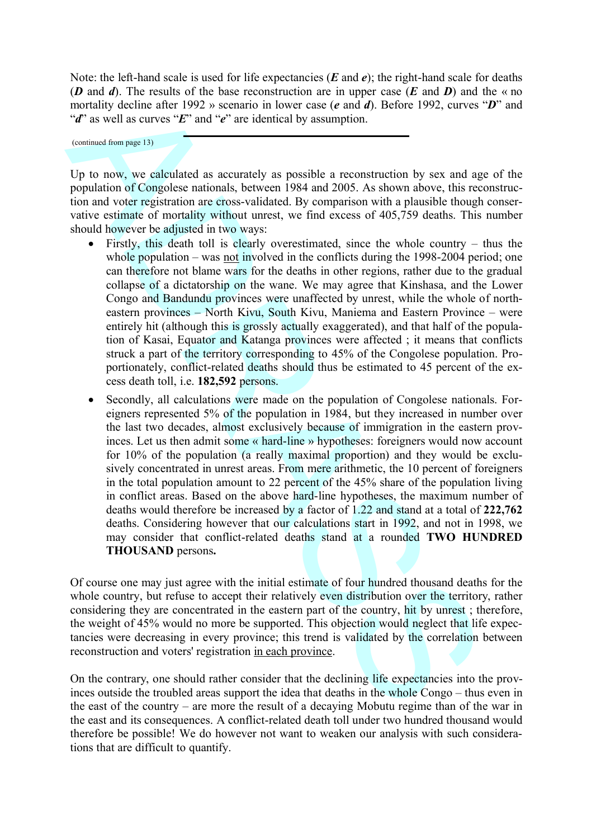Note: the left-hand scale is used for life expectancies (*E* and *e*); the right-hand scale for deaths (*D* and *d*). The results of the base reconstruction are in upper case (*E* and *D*) and the  $\ll$  no mortality decline after 1992 » scenario in lower case (*e* and *d*). Before 1992, curves "*D*" and "*d*" as well as curves "*E*" and "*e*" are identical by assumption.

(continued from page 13)

Up to now, we calculated as accurately as possible a reconstruction by sex and age of the population of Congolese nationals, between 1984 and 2005. As shown above, this reconstruction and voter registration are cross-validated. By comparison with a plausible though conservative estimate of mortality without unrest, we find excess of 405,759 deaths. This number should however be adjusted in two ways:

- Firstly, this death toll is clearly overestimated, since the whole country thus the whole population – was not involved in the conflicts during the 1998-2004 period; one can therefore not blame wars for the deaths in other regions, rather due to the gradual collapse of a dictatorship on the wane. We may agree that Kinshasa, and the Lower Congo and Bandundu provinces were unaffected by unrest, while the whole of northeastern provinces – North Kivu, South Kivu, Maniema and Eastern Province – were entirely hit (although this is grossly actually exaggerated), and that half of the population of Kasai, Equator and Katanga provinces were affected ; it means that conflicts struck a part of the territory corresponding to 45% of the Congolese population. Proportionately, conflict-related deaths should thus be estimated to 45 percent of the excess death toll, i.e. **182,592** persons.
- normalny declines the 1902 seconds in boot cases (a negle that the particle and the specific and the specific and the specific and the specific and the specific and the specific and the specific and the specific and the s Secondly, all calculations were made on the population of Congolese nationals. Foreigners represented 5% of the population in 1984, but they increased in number over the last two decades, almost exclusively because of immigration in the eastern provinces. Let us then admit some « hard-line » hypotheses: foreigners would now account for 10% of the population (a really maximal proportion) and they would be exclusively concentrated in unrest areas. From mere arithmetic, the 10 percent of foreigners in the total population amount to 22 percent of the 45% share of the population living in conflict areas. Based on the above hard-line hypotheses, the maximum number of deaths would therefore be increased by a factor of 1.22 and stand at a total of **222,762** deaths. Considering however that our calculations start in 1992, and not in 1998, we may consider that conflict-related deaths stand at a rounded **TWO HUNDRED THOUSAND** persons**.**

Of course one may just agree with the initial estimate of four hundred thousand deaths for the whole country, but refuse to accept their relatively even distribution over the territory, rather considering they are concentrated in the eastern part of the country, hit by unrest ; therefore, the weight of 45% would no more be supported. This objection would neglect that life expectancies were decreasing in every province; this trend is validated by the correlation between reconstruction and voters' registration in each province.

On the contrary, one should rather consider that the declining life expectancies into the provinces outside the troubled areas support the idea that deaths in the whole Congo – thus even in the east of the country – are more the result of a decaying Mobutu regime than of the war in the east and its consequences. A conflict-related death toll under two hundred thousand would therefore be possible! We do however not want to weaken our analysis with such considerations that are difficult to quantify.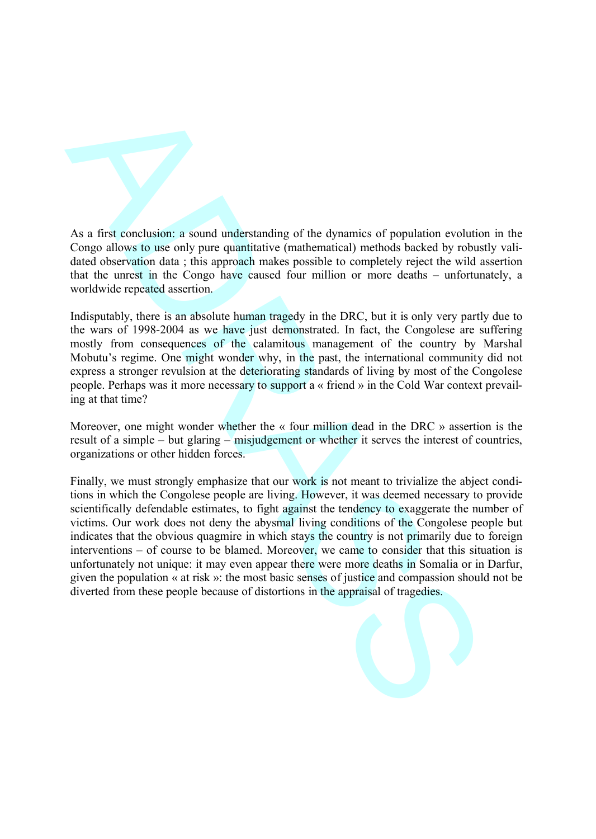

As a first conclusion: a sound understanding of the dynamics of population evolution in the Congo allows to use only pure quantitative (mathematical) methods backed by robustly validated observation data ; this approach makes possible to completely reject the wild assertion that the unrest in the Congo have caused four million or more deaths – unfortunately, a worldwide repeated assertion.

Indisputably, there is an absolute human tragedy in the DRC, but it is only very partly due to the wars of 1998-2004 as we have just demonstrated. In fact, the Congolese are suffering mostly from consequences of the calamitous management of the country by Marshal Mobutu's regime. One might wonder why, in the past, the international community did not express a stronger revulsion at the deteriorating standards of living by most of the Congolese people. Perhaps was it more necessary to support  $a \ll a$  in the Cold War context prevailing at that time?

Moreover, one might wonder whether the  $\kappa$  four million dead in the DRC  $\kappa$  assertion is the result of a simple – but glaring – misjudgement or whether it serves the interest of countries, organizations or other hidden forces.

As a first conclusion: a sound understanding of the dynamics of population coolition<br>Congo allows to use only pure quantitative, trainivendently methods that<br>dated observation data; this approach makes possible to complic Finally, we must strongly emphasize that our work is not meant to trivialize the abject conditions in which the Congolese people are living. However, it was deemed necessary to provide scientifically defendable estimates, to fight against the tendency to exaggerate the number of victims. Our work does not deny the abysmal living conditions of the Congolese people but indicates that the obvious quagmire in which stays the country is not primarily due to foreign interventions – of course to be blamed. Moreover, we came to consider that this situation is unfortunately not unique: it may even appear there were more deaths in Somalia or in Darfur, given the population « at risk »: the most basic senses of justice and compassion should not be diverted from these people because of distortions in the appraisal of tragedies.

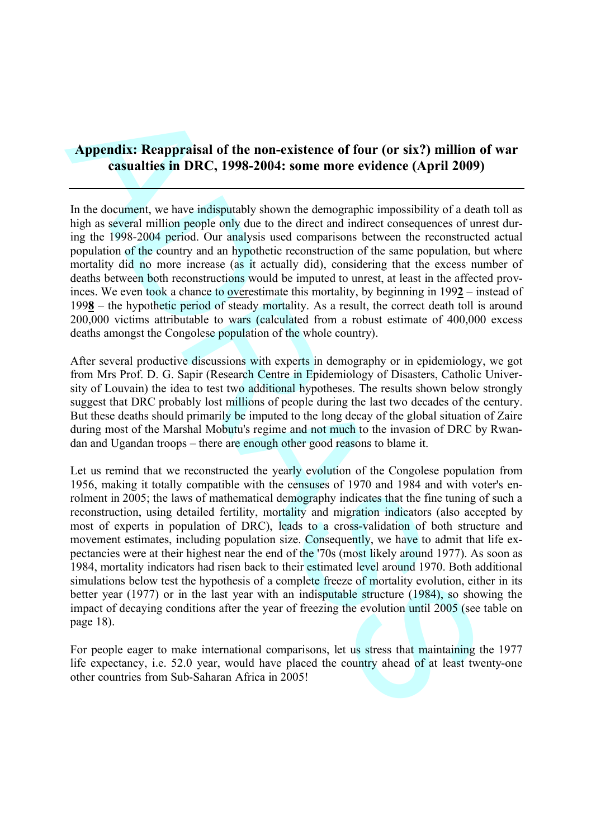# **Appendix: Reappraisal of the non-existence of four (or six?) million of war casualties in DRC, 1998-2004: some more evidence (April 2009)**

In the document, we have indisputably shown the demographic impossibility of a death toll as high as several million people only due to the direct and indirect consequences of unrest during the 1998-2004 period. Our analysis used comparisons between the reconstructed actual population of the country and an hypothetic reconstruction of the same population, but where mortality did no more increase (as it actually did), considering that the excess number of deaths between both reconstructions would be imputed to unrest, at least in the affected provinces. We even took a chance to overestimate this mortality, by beginning in 199**2** – instead of 199**8** – the hypothetic period of steady mortality. As a result, the correct death toll is around 200,000 victims attributable to wars (calculated from a robust estimate of 400,000 excess deaths amongst the Congolese population of the whole country).

After several productive discussions with experts in demography or in epidemiology, we got from Mrs Prof. D. G. Sapir (Research Centre in Epidemiology of Disasters, Catholic University of Louvain) the idea to test two additional hypotheses. The results shown below strongly suggest that DRC probably lost millions of people during the last two decades of the century. But these deaths should primarily be imputed to the long decay of the global situation of Zaire during most of the Marshal Mobutu's regime and not much to the invasion of DRC by Rwandan and Ugandan troops – there are enough other good reasons to blame it.

Appendix: Reappraisal of the non-existence of four (or six?) million on<br>
casualties in DRC, 1998-2004: some more evidence (April 2009)<br>
In the document, we have indigited given the demographic impossibility of a definitio Let us remind that we reconstructed the yearly evolution of the Congolese population from 1956, making it totally compatible with the censuses of 1970 and 1984 and with voter's enrolment in 2005; the laws of mathematical demography indicates that the fine tuning of such a reconstruction, using detailed fertility, mortality and migration indicators (also accepted by most of experts in population of DRC), leads to a cross-validation of both structure and movement estimates, including population size. Consequently, we have to admit that life expectancies were at their highest near the end of the '70s (most likely around 1977). As soon as 1984, mortality indicators had risen back to their estimated level around 1970. Both additional simulations below test the hypothesis of a complete freeze of mortality evolution, either in its better year (1977) or in the last year with an indisputable structure (1984), so showing the impact of decaying conditions after the year of freezing the evolution until 2005 (see table on page 18).

For people eager to make international comparisons, let us stress that maintaining the 1977 life expectancy, i.e. 52.0 year, would have placed the country ahead of at least twenty-one other countries from Sub-Saharan Africa in 2005!